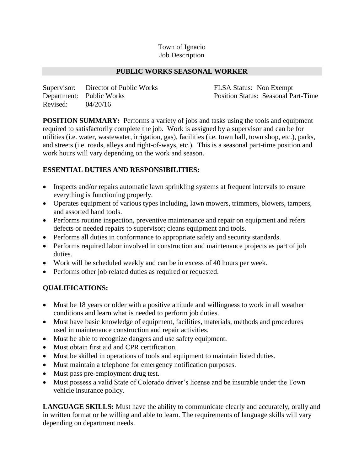#### Town of Ignacio Job Description

#### **PUBLIC WORKS SEASONAL WORKER**

Supervisor: Director of Public Works FLSA Status: Non Exempt Department: Public Works Position Status: Seasonal Part-Time Revised: 04/20/16

**POSITION SUMMARY:** Performs a variety of jobs and tasks using the tools and equipment required to satisfactorily complete the job. Work is assigned by a supervisor and can be for utilities (i.e. water, wastewater, irrigation, gas), facilities (i.e. town hall, town shop, etc.), parks, and streets (i.e. roads, alleys and right-of-ways, etc.). This is a seasonal part-time position and work hours will vary depending on the work and season.

## **ESSENTIAL DUTIES AND RESPONSIBILITIES:**

- Inspects and/or repairs automatic lawn sprinkling systems at frequent intervals to ensure everything is functioning properly.
- Operates equipment of various types including, lawn mowers, trimmers, blowers, tampers, and assorted hand tools.
- Performs routine inspection, preventive maintenance and repair on equipment and refers defects or needed repairs to supervisor; cleans equipment and tools.
- Performs all duties in conformance to appropriate safety and security standards.
- Performs required labor involved in construction and maintenance projects as part of job duties.
- Work will be scheduled weekly and can be in excess of 40 hours per week.
- Performs other job related duties as required or requested.

## **QUALIFICATIONS:**

- Must be 18 years or older with a positive attitude and willingness to work in all weather conditions and learn what is needed to perform job duties.
- Must have basic knowledge of equipment, facilities, materials, methods and procedures used in maintenance construction and repair activities.
- Must be able to recognize dangers and use safety equipment.
- Must obtain first aid and CPR certification.
- Must be skilled in operations of tools and equipment to maintain listed duties.
- Must maintain a telephone for emergency notification purposes.
- Must pass pre-employment drug test.
- Must possess a valid State of Colorado driver's license and be insurable under the Town vehicle insurance policy.

**LANGUAGE SKILLS:** Must have the ability to communicate clearly and accurately, orally and in written format or be willing and able to learn. The requirements of language skills will vary depending on department needs.